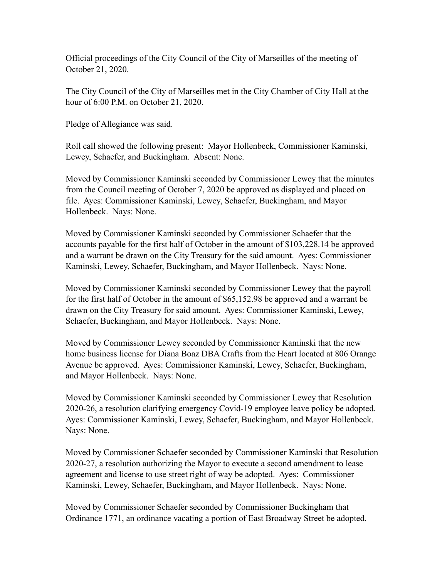Official proceedings of the City Council of the City of Marseilles of the meeting of October 21, 2020.

The City Council of the City of Marseilles met in the City Chamber of City Hall at the hour of 6:00 P.M. on October 21, 2020.

Pledge of Allegiance was said.

Roll call showed the following present: Mayor Hollenbeck, Commissioner Kaminski, Lewey, Schaefer, and Buckingham. Absent: None.

Moved by Commissioner Kaminski seconded by Commissioner Lewey that the minutes from the Council meeting of October 7, 2020 be approved as displayed and placed on file. Ayes: Commissioner Kaminski, Lewey, Schaefer, Buckingham, and Mayor Hollenbeck. Nays: None.

Moved by Commissioner Kaminski seconded by Commissioner Schaefer that the accounts payable for the first half of October in the amount of \$103,228.14 be approved and a warrant be drawn on the City Treasury for the said amount. Ayes: Commissioner Kaminski, Lewey, Schaefer, Buckingham, and Mayor Hollenbeck. Nays: None.

Moved by Commissioner Kaminski seconded by Commissioner Lewey that the payroll for the first half of October in the amount of \$65,152.98 be approved and a warrant be drawn on the City Treasury for said amount. Ayes: Commissioner Kaminski, Lewey, Schaefer, Buckingham, and Mayor Hollenbeck. Nays: None.

Moved by Commissioner Lewey seconded by Commissioner Kaminski that the new home business license for Diana Boaz DBA Crafts from the Heart located at 806 Orange Avenue be approved. Ayes: Commissioner Kaminski, Lewey, Schaefer, Buckingham, and Mayor Hollenbeck. Nays: None.

Moved by Commissioner Kaminski seconded by Commissioner Lewey that Resolution 2020-26, a resolution clarifying emergency Covid-19 employee leave policy be adopted. Ayes: Commissioner Kaminski, Lewey, Schaefer, Buckingham, and Mayor Hollenbeck. Nays: None.

Moved by Commissioner Schaefer seconded by Commissioner Kaminski that Resolution 2020-27, a resolution authorizing the Mayor to execute a second amendment to lease agreement and license to use street right of way be adopted. Ayes: Commissioner Kaminski, Lewey, Schaefer, Buckingham, and Mayor Hollenbeck. Nays: None.

Moved by Commissioner Schaefer seconded by Commissioner Buckingham that Ordinance 1771, an ordinance vacating a portion of East Broadway Street be adopted.